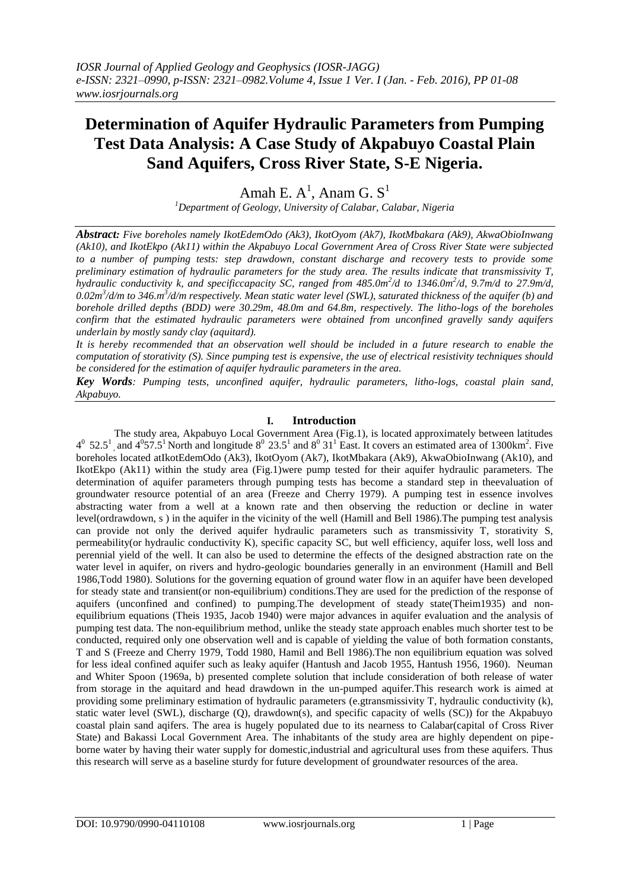# **Determination of Aquifer Hydraulic Parameters from Pumping Test Data Analysis: A Case Study of Akpabuyo Coastal Plain Sand Aquifers, Cross River State, S-E Nigeria.**

Amah E.  $A^1$ , Anam G.  $S^1$ 

*<sup>1</sup>Department of Geology, University of Calabar, Calabar, Nigeria*

*Abstract: Five boreholes namely IkotEdemOdo (Ak3), IkotOyom (Ak7), IkotMbakara (Ak9), AkwaObioInwang (Ak10), and IkotEkpo (Ak11) within the Akpabuyo Local Government Area of Cross River State were subjected to a number of pumping tests: step drawdown, constant discharge and recovery tests to provide some preliminary estimation of hydraulic parameters for the study area. The results indicate that transmissivity T, hydraulic conductivity k, and specificcapacity SC, ranged from 485.0m<sup>2</sup>/d to 1346.0m<sup>2</sup>/d, 9.7m/d to 27.9m/d,* 0.02m<sup>3</sup>/d/m to 346.m<sup>3</sup>/d/m respectively. Mean static water level (SWL), saturated thickness of the aquifer (b) and *borehole drilled depths (BDD) were 30.29m, 48.0m and 64.8m, respectively. The litho-logs of the boreholes confirm that the estimated hydraulic parameters were obtained from unconfined gravelly sandy aquifers underlain by mostly sandy clay (aquitard).*

*It is hereby recommended that an observation well should be included in a future research to enable the computation of storativity (S). Since pumping test is expensive, the use of electrical resistivity techniques should be considered for the estimation of aquifer hydraulic parameters in the area.*

*Key Words: Pumping tests, unconfined aquifer, hydraulic parameters, litho-logs, coastal plain sand, Akpabuyo.*

## **I. Introduction**

The study area, Akpabuyo Local Government Area (Fig.1), is located approximately between latitudes  $4^0$  52.5<sup>1</sup>, and  $4^0$ 57.5<sup>1</sup> North and longitude  $8^0$  23.5<sup>1</sup> and  $8^0$  31<sup>1</sup> East. It covers an estimated area of 1300km<sup>2</sup>. Five boreholes located atIkotEdemOdo (Ak3), IkotOyom (Ak7), IkotMbakara (Ak9), AkwaObioInwang (Ak10), and IkotEkpo (Ak11) within the study area (Fig.1)were pump tested for their aquifer hydraulic parameters. The determination of aquifer parameters through pumping tests has become a standard step in theevaluation of groundwater resource potential of an area (Freeze and Cherry 1979). A pumping test in essence involves abstracting water from a well at a known rate and then observing the reduction or decline in water level(ordrawdown, s ) in the aquifer in the vicinity of the well (Hamill and Bell 1986).The pumping test analysis can provide not only the derived aquifer hydraulic parameters such as transmissivity T, storativity S, permeability(or hydraulic conductivity K), specific capacity SC, but well efficiency, aquifer loss, well loss and perennial yield of the well. It can also be used to determine the effects of the designed abstraction rate on the water level in aquifer, on rivers and hydro-geologic boundaries generally in an environment (Hamill and Bell 1986,Todd 1980). Solutions for the governing equation of ground water flow in an aquifer have been developed for steady state and transient(or non-equilibrium) conditions.They are used for the prediction of the response of aquifers (unconfined and confined) to pumping.The development of steady state(Theim1935) and nonequilibrium equations (Theis 1935, Jacob 1940) were major advances in aquifer evaluation and the analysis of pumping test data. The non-equilibrium method, unlike the steady state approach enables much shorter test to be conducted, required only one observation well and is capable of yielding the value of both formation constants, T and S (Freeze and Cherry 1979, Todd 1980, Hamil and Bell 1986).The non equilibrium equation was solved for less ideal confined aquifer such as leaky aquifer (Hantush and Jacob 1955, Hantush 1956, 1960). Neuman and Whiter Spoon (1969a, b) presented complete solution that include consideration of both release of water from storage in the aquitard and head drawdown in the un-pumped aquifer.This research work is aimed at providing some preliminary estimation of hydraulic parameters (e.gtransmissivity T, hydraulic conductivity (k), static water level (SWL), discharge (Q), drawdown(s), and specific capacity of wells (SC)) for the Akpabuyo coastal plain sand aqifers. The area is hugely populated due to its nearness to Calabar(capital of Cross River State) and Bakassi Local Government Area. The inhabitants of the study area are highly dependent on pipeborne water by having their water supply for domestic,industrial and agricultural uses from these aquifers. Thus this research will serve as a baseline sturdy for future development of groundwater resources of the area.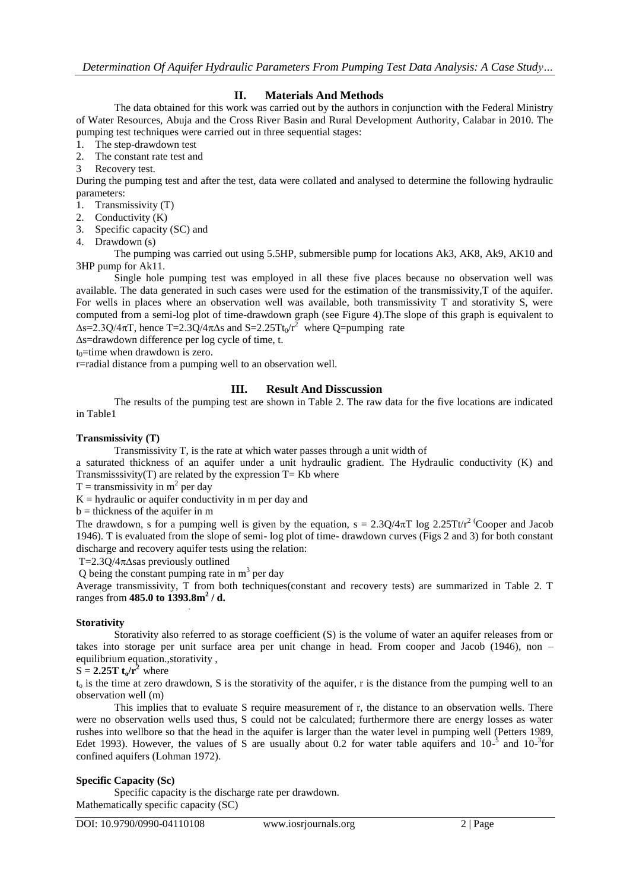# **II. Materials And Methods**

The data obtained for this work was carried out by the authors in conjunction with the Federal Ministry of Water Resources, Abuja and the Cross River Basin and Rural Development Authority, Calabar in 2010. The pumping test techniques were carried out in three sequential stages:

- 1. The step-drawdown test
- 2. The constant rate test and
- 3 Recovery test.

During the pumping test and after the test, data were collated and analysed to determine the following hydraulic parameters:

- 1. Transmissivity (T)
- 2. Conductivity (K)
- 3. Specific capacity (SC) and
- 4. Drawdown (s)

The pumping was carried out using 5.5HP, submersible pump for locations Ak3, AK8, Ak9, AK10 and 3HP pump for Ak11.

Single hole pumping test was employed in all these five places because no observation well was available. The data generated in such cases were used for the estimation of the transmissivity,T of the aquifer. For wells in places where an observation well was available, both transmissivity T and storativity S, were computed from a semi-log plot of time-drawdown graph (see Figure 4).The slope of this graph is equivalent to  $\Delta s$ =2.3Q/4 $\pi$ T, hence T=2.3Q/4 $\pi\Delta s$  and S=2.25Tt<sub>0</sub>/r<sup>2</sup> where Q=pumping rate

∆s=drawdown difference per log cycle of time, t.

 $t_0$ =time when drawdown is zero.

r=radial distance from a pumping well to an observation well.

## **III. Result And Disscussion**

The results of the pumping test are shown in Table 2. The raw data for the five locations are indicated in Table1

## **Transmissivity (T)**

Transmissivity T, is the rate at which water passes through a unit width of

a saturated thickness of an aquifer under a unit hydraulic gradient. The Hydraulic conductivity (K) and Transmisssivity(T) are related by the expression  $T=Kb$  where

 $T =$  transmissivity in  $m<sup>2</sup>$  per day

 $K =$  hydraulic or aquifer conductivity in m per day and

 $b =$  thickness of the aquifer in m

The drawdown, s for a pumping well is given by the equation,  $s = 2.3Q/4\pi T \log 2.25T \text{tr}^2$  Cooper and Jacob 1946). T is evaluated from the slope of semi- log plot of time- drawdown curves (Figs 2 and 3) for both constant discharge and recovery aquifer tests using the relation:

T=2.3Q/4∆sas previously outlined

Q being the constant pumping rate in  $m<sup>3</sup>$  per day

Average transmissivity, T from both techniques(constant and recovery tests) are summarized in Table 2. T ranges from **485.0 to 1393.8m<sup>2</sup> / d.**

## **Storativity**

Storativity also referred to as storage coefficient (S) is the volume of water an aquifer releases from or takes into storage per unit surface area per unit change in head. From cooper and Jacob (1946), non – equilibrium equation.,storativity ,

## $S = 2.25T t_0/r^2$  where

 $t_0$  is the time at zero drawdown, S is the storativity of the aquifer, r is the distance from the pumping well to an observation well (m)

This implies that to evaluate S require measurement of r, the distance to an observation wells. There were no observation wells used thus, S could not be calculated; furthermore there are energy losses as water rushes into wellbore so that the head in the aquifer is larger than the water level in pumping well (Petters 1989, Edet 1993). However, the values of S are usually about 0.2 for water table aquifers and  $10^{-5}$  and  $10^{-3}$  for confined aquifers (Lohman 1972).

## **Specific Capacity (Sc)**

Specific capacity is the discharge rate per drawdown. Mathematically specific capacity (SC)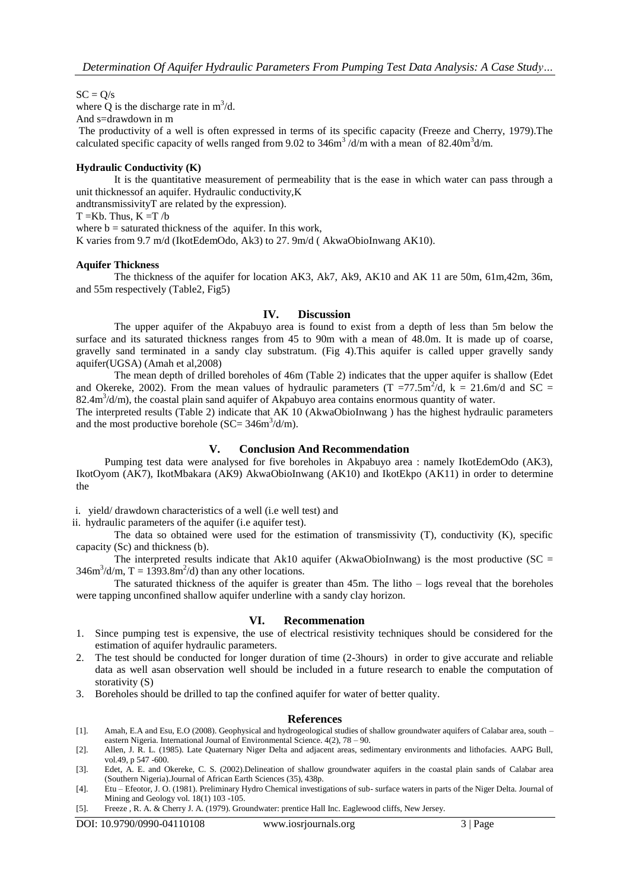$SC = Q/s$ 

where Q is the discharge rate in  $m^3/d$ .

And s=drawdown in m

The productivity of a well is often expressed in terms of its specific capacity (Freeze and Cherry, 1979).The calculated specific capacity of wells ranged from 9.02 to 346m<sup>3</sup>/d/m with a mean of 82.40m<sup>3</sup>d/m.

## **Hydraulic Conductivity (K)**

It is the quantitative measurement of permeability that is the ease in which water can pass through a unit thicknessof an aquifer. Hydraulic conductivity,K

andtransmissivityT are related by the expression).

 $T = Kb$ . Thus,  $K = T/b$ 

where  $b =$  saturated thickness of the aquifer. In this work,

K varies from 9.7 m/d (IkotEdemOdo, Ak3) to 27. 9m/d ( AkwaObioInwang AK10).

## **Aquifer Thickness**

The thickness of the aquifer for location AK3, Ak7, Ak9, AK10 and AK 11 are 50m, 61m,42m, 36m, and 55m respectively (Table2, Fig5)

#### **IV. Discussion**

The upper aquifer of the Akpabuyo area is found to exist from a depth of less than 5m below the surface and its saturated thickness ranges from 45 to 90m with a mean of 48.0m. It is made up of coarse, gravelly sand terminated in a sandy clay substratum. (Fig 4).This aquifer is called upper gravelly sandy aquifer(UGSA) (Amah et al,2008)

The mean depth of drilled boreholes of 46m (Table 2) indicates that the upper aquifer is shallow (Edet and Okereke, 2002). From the mean values of hydraulic parameters  $(T = 77.5 \text{m}^2/\text{d}, k = 21.6 \text{m/d}$  and SC = 82.4m<sup>3</sup>/d/m), the coastal plain sand aquifer of Akpabuyo area contains enormous quantity of water.

The interpreted results (Table 2) indicate that AK 10 (AkwaObioInwang ) has the highest hydraulic parameters and the most productive borehole (SC=  $346m^3/d/m$ ).

## **V. Conclusion And Recommendation**

Pumping test data were analysed for five boreholes in Akpabuyo area : namely IkotEdemOdo (AK3), IkotOyom (AK7), IkotMbakara (AK9) AkwaObioInwang (AK10) and IkotEkpo (AK11) in order to determine the

i. yield/ drawdown characteristics of a well (i.e well test) and

ii. hydraulic parameters of the aquifer (i.e aquifer test).

The data so obtained were used for the estimation of transmissivity (T), conductivity (K), specific capacity (Sc) and thickness (b).

The interpreted results indicate that Ak10 aquifer (AkwaObioInwang) is the most productive ( $SC =$  $346m^3/d/m$ , T = 1393.8m<sup>2</sup>/d) than any other locations.

The saturated thickness of the aquifer is greater than 45m. The litho – logs reveal that the boreholes were tapping unconfined shallow aquifer underline with a sandy clay horizon.

## **VI. Recommenation**

- 1. Since pumping test is expensive, the use of electrical resistivity techniques should be considered for the estimation of aquifer hydraulic parameters.
- 2. The test should be conducted for longer duration of time (2-3hours) in order to give accurate and reliable data as well asan observation well should be included in a future research to enable the computation of storativity (S)
- 3. Boreholes should be drilled to tap the confined aquifer for water of better quality.

## **References**

[1]. Amah, E.A and Esu, E.O (2008). Geophysical and hydrogeological studies of shallow groundwater aquifers of Calabar area, south – eastern Nigeria. International Journal of Environmental Science. 4(2), 78 – 90.

[5]. Freeze , R. A. & Cherry J. A. (1979). Groundwater: prentice Hall Inc. Eaglewood cliffs, New Jersey.

<sup>[2].</sup> Allen, J. R. L. (1985). Late Quaternary Niger Delta and adjacent areas, sedimentary environments and lithofacies. AAPG Bull, vol.49, p 547 -600.

<sup>[3].</sup> Edet, A. E. and Okereke, C. S. (2002).Delineation of shallow groundwater aquifers in the coastal plain sands of Calabar area (Southern Nigeria).Journal of African Earth Sciences (35), 438p.

<sup>[4].</sup> Etu – Efeotor, J. O. (1981). Preliminary Hydro Chemical investigations of sub- surface waters in parts of the Niger Delta. Journal of Mining and Geology vol. 18(1) 103 -105.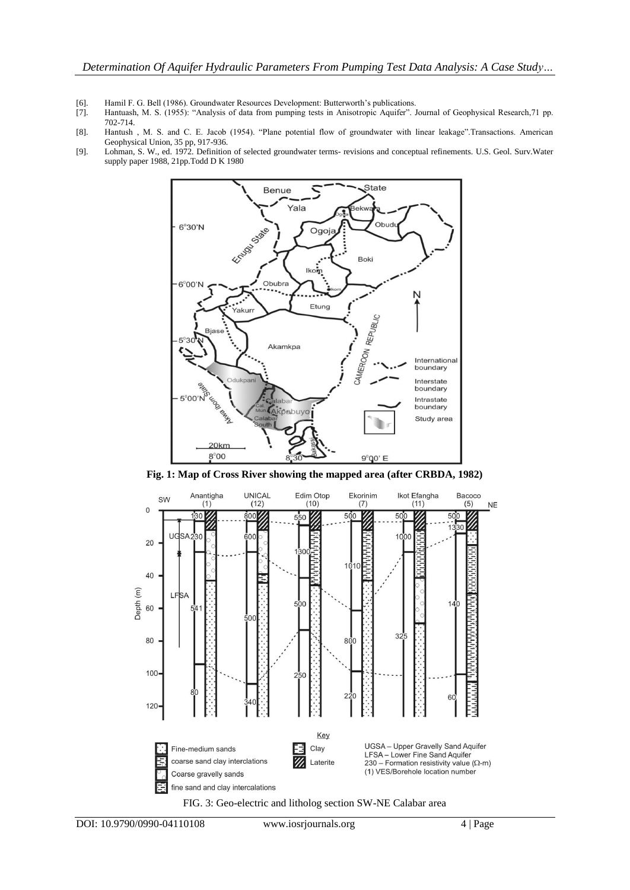- [6]. Hamil F. G. Bell (1986). Groundwater Resources Development: Butterworth's publications.<br>[7]. Hantuash, M. S. (1955): "Analysis of data from pumping tests in Anisotropic Aquifer".
- Hantuash, M. S. (1955): "Analysis of data from pumping tests in Anisotropic Aquifer". Journal of Geophysical Research,71 pp. 702-714.
- [8]. Hantush , M. S. and C. E. Jacob (1954). "Plane potential flow of groundwater with linear leakage".Transactions. American Geophysical Union, 35 pp, 917-936.
- [9]. Lohman, S. W., ed. 1972. Definition of selected groundwater terms- revisions and conceptual refinements. U.S. Geol. Surv.Water supply paper 1988, 21pp.Todd D K 1980



**Fig. 1: Map of Cross River showing the mapped area (after CRBDA, 1982)**

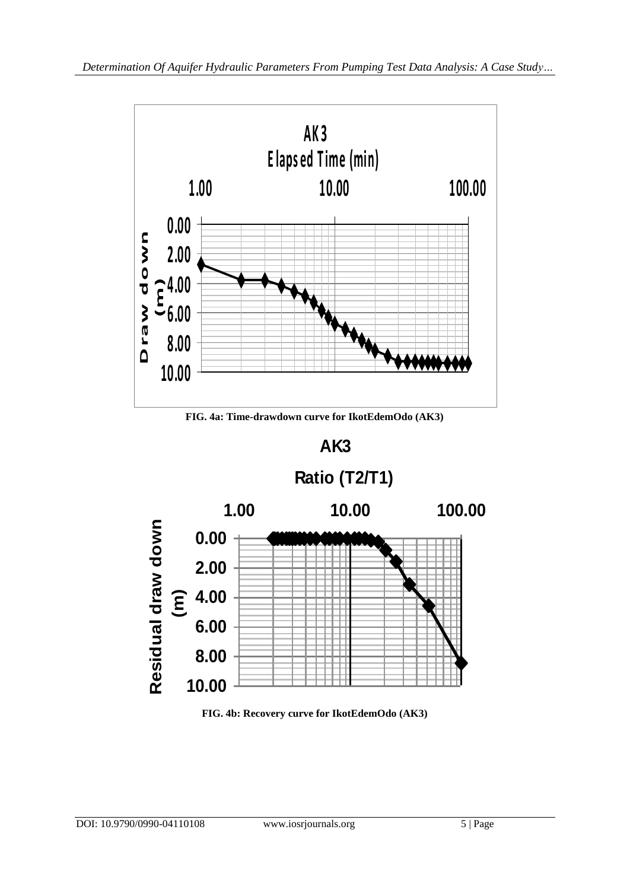

**FIG. 4a: Time-drawdown curve for IkotEdemOdo (AK3)**



**FIG. 4b: Recovery curve for IkotEdemOdo (AK3)**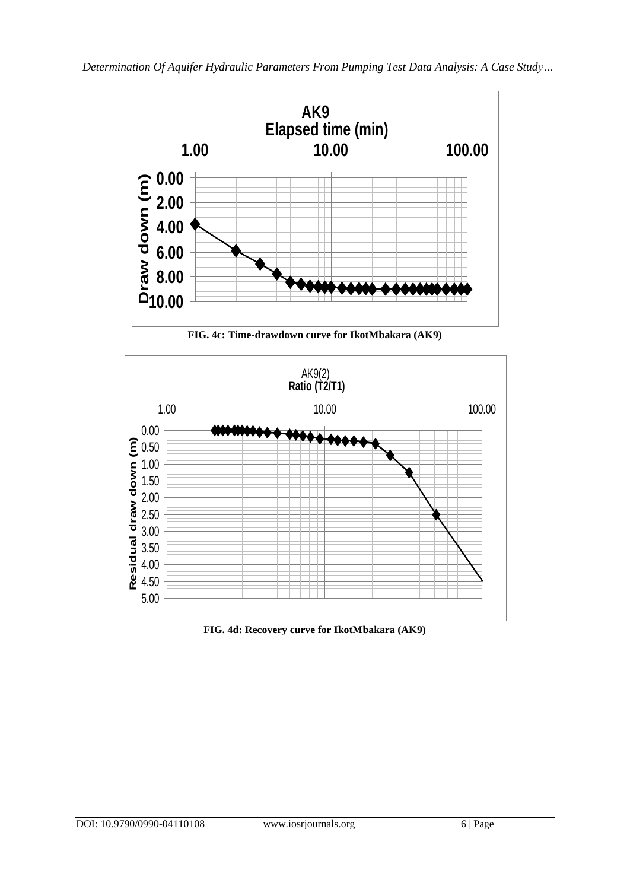

**FIG. 4c: Time-drawdown curve for IkotMbakara (AK9)**



**FIG. 4d: Recovery curve for IkotMbakara (AK9)**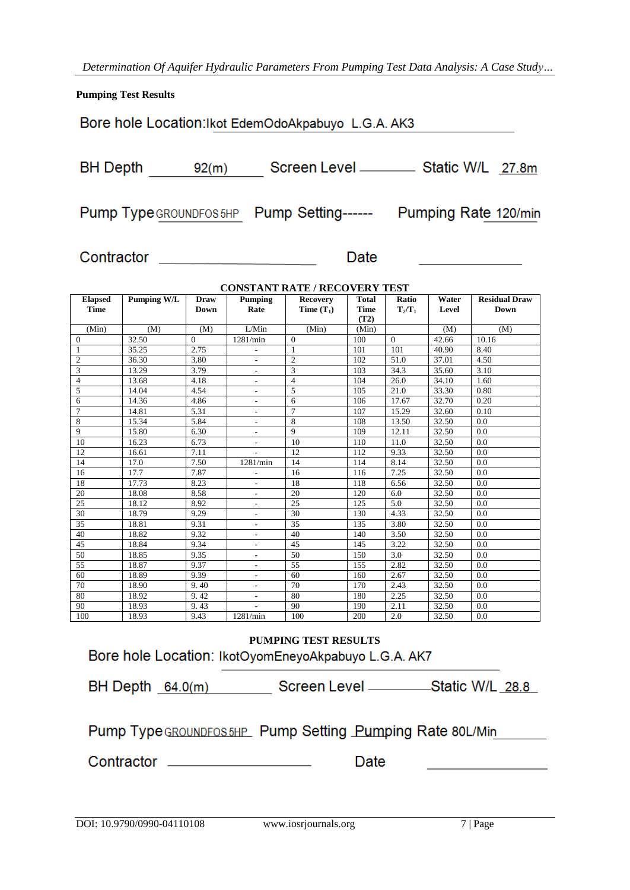*Determination Of Aquifer Hydraulic Parameters From Pumping Test Data Analysis: A Case Study…*

**Pumping Test Results**

Bore hole Location: Ikot EdemOdoAkpabuyo L.G.A. AK3

BH Depth 92(m) Screen Level \_\_\_\_\_\_\_\_\_\_\_ Static W/L 27.8m

Pump Type GROUNDFOS 5HP Pump Setting------ Pumping Rate 120/min

Contractor \_\_\_\_\_\_\_\_\_\_\_\_\_\_\_\_\_\_\_\_\_

Date

| <b>CONSTANT RATE / RECOVERY TEST</b> |                    |                            |                          |                                 |                                     |                    |                |                                     |
|--------------------------------------|--------------------|----------------------------|--------------------------|---------------------------------|-------------------------------------|--------------------|----------------|-------------------------------------|
| <b>Elapsed</b><br><b>Time</b>        | <b>Pumping W/L</b> | <b>Draw</b><br><b>Down</b> | Pumping<br>Rate          | <b>Recovery</b><br>Time $(T_1)$ | <b>Total</b><br><b>Time</b><br>(T2) | Ratio<br>$T_2/T_1$ | Water<br>Level | <b>Residual Draw</b><br><b>Down</b> |
| (Min)                                | (M)                | (M)                        | L/Min                    | (Min)                           | (Min)                               |                    | (M)            | (M)                                 |
| $\theta$                             | 32.50              | $\Omega$                   | 1281/min                 | $\Omega$                        | 100                                 | $\Omega$           | 42.66          | 10.16                               |
| $\mathbf{1}$                         | 35.25              | 2.75                       |                          | 1                               | 101                                 | 101                | 40.90          | 8.40                                |
| $\overline{2}$                       | 36.30              | 3.80                       | $\overline{a}$           | $\overline{2}$                  | 102                                 | 51.0               | 37.01          | 4.50                                |
| $\overline{3}$                       | 13.29              | 3.79                       | $\overline{a}$           | $\overline{3}$                  | 103                                 | 34.3               | 35.60          | 3.10                                |
| $\overline{4}$                       | 13.68              | 4.18                       | $\overline{\phantom{a}}$ | $\overline{4}$                  | 104                                 | 26.0               | 34.10          | 1.60                                |
| 5                                    | 14.04              | 4.54                       | ٠                        | 5                               | 105                                 | 21.0               | 33.30          | 0.80                                |
| 6                                    | 14.36              | 4.86                       | $\overline{a}$           | 6                               | 106                                 | 17.67              | 32.70          | 0.20                                |
| $\overline{7}$                       | 14.81              | 5.31                       | ٠                        | $\overline{7}$                  | 107                                 | 15.29              | 32.60          | 0.10                                |
| 8                                    | 15.34              | 5.84                       | $\overline{\phantom{a}}$ | 8                               | 108                                 | 13.50              | 32.50          | 0.0                                 |
| 9                                    | 15.80              | 6.30                       | $\overline{\phantom{a}}$ | 9                               | 109                                 | 12.11              | 32.50          | 0.0                                 |
| 10                                   | 16.23              | 6.73                       |                          | 10                              | 110                                 | 11.0               | 32.50          | 0.0                                 |
| 12                                   | 16.61              | 7.11                       |                          | 12                              | 112                                 | 9.33               | 32.50          | 0.0                                 |
| 14                                   | 17.0               | 7.50                       | 1281/min                 | 14                              | 114                                 | 8.14               | 32.50          | 0.0                                 |
| 16                                   | 17.7               | 7.87                       | $\overline{\phantom{a}}$ | 16                              | 116                                 | 7.25               | 32.50          | 0.0                                 |
| 18                                   | 17.73              | 8.23                       | $\overline{\phantom{a}}$ | 18                              | 118                                 | 6.56               | 32.50          | 0.0                                 |
| 20                                   | 18.08              | 8.58                       | $\overline{a}$           | 20                              | 120                                 | 6.0                | 32.50          | 0.0                                 |
| 25                                   | 18.12              | 8.92                       | $\overline{\phantom{a}}$ | 25                              | 125                                 | 5.0                | 32.50          | 0.0                                 |
| 30                                   | 18.79              | 9.29                       | $\overline{\phantom{a}}$ | 30                              | 130                                 | 4.33               | 32.50          | 0.0                                 |
| $\overline{35}$                      | 18.81              | 9.31                       | $\overline{\phantom{a}}$ | $\overline{35}$                 | 135                                 | 3.80               | 32.50          | 0.0                                 |
| 40                                   | 18.82              | 9.32                       | ٠                        | 40                              | 140                                 | 3.50               | 32.50          | 0.0                                 |
| 45                                   | 18.84              | 9.34                       | $\overline{\phantom{a}}$ | 45                              | 145                                 | 3.22               | 32.50          | 0.0                                 |
| 50                                   | 18.85              | 9.35                       | $\sim$                   | 50                              | 150                                 | 3.0                | 32.50          | 0.0                                 |
| 55                                   | 18.87              | 9.37                       | $\overline{\phantom{a}}$ | 55                              | 155                                 | 2.82               | 32.50          | 0.0                                 |
| 60                                   | 18.89              | 9.39                       | $\overline{\phantom{a}}$ | 60                              | 160                                 | 2.67               | 32.50          | 0.0                                 |
| 70                                   | 18.90              | 9.40                       | $\overline{\phantom{a}}$ | 70                              | 170                                 | 2.43               | 32.50          | 0.0                                 |
| 80                                   | 18.92              | 9.42                       | $\sim$                   | 80                              | 180                                 | 2.25               | 32.50          | 0.0                                 |
| 90                                   | 18.93              | 9.43                       |                          | 90                              | 190                                 | 2.11               | 32.50          | 0.0                                 |
| 100                                  | 18.93              | 9.43                       | 1281/min                 | 100                             | 200                                 | 2.0                | 32.50          | 0.0                                 |

**PUMPING TEST RESULTS**Bore hole Location: IkotOyomEneyoAkpabuyo L.G.A. AK7

| Pump Type GROUNDFOS 5HP Pump Setting Pumping Rate 80L/Min |  |
|-----------------------------------------------------------|--|
|                                                           |  |

Contractor \_\_\_\_\_\_\_\_\_\_\_\_\_\_\_\_\_\_\_

Date

<u> 1989 - Andrea Station Barbara, amerikan per</u>

<u> 1990 - Johann Barbara, martxa</u>